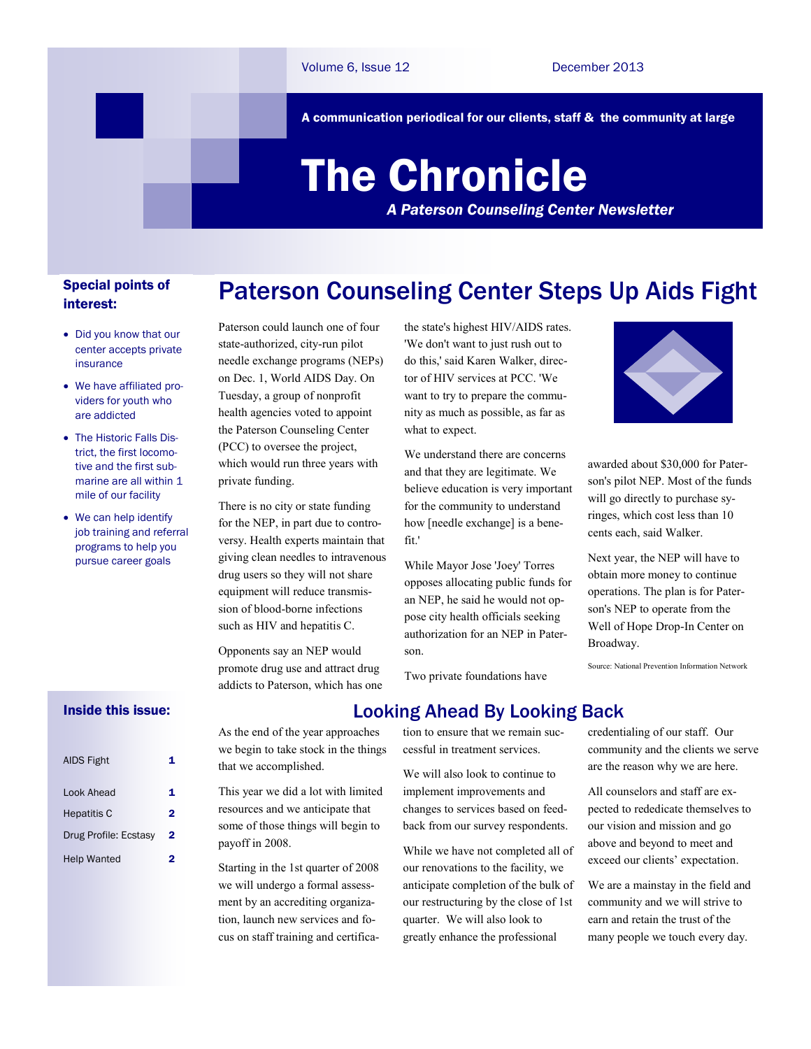A communication periodical for our clients, staff & the community at large

# The Chronicle

*A Paterson Counseling Center Newsletter*

## Special points of interest:

- Did you know that our center accepts private insurance
- We have affiliated providers for youth who are addicted
- The Historic Falls District, the first locomotive and the first submarine are all within 1 mile of our facility
- We can help identify job training and referral programs to help you pursue career goals

Paterson could launch one of four state-authorized, city-run pilot needle exchange programs (NEPs) on Dec. 1, World AIDS Day. On Tuesday, a group of nonprofit health agencies voted to appoint the Paterson Counseling Center (PCC) to oversee the project, which would run three years with private funding.

There is no city or state funding for the NEP, in part due to controversy. Health experts maintain that giving clean needles to intravenous drug users so they will not share equipment will reduce transmission of blood-borne infections such as HIV and hepatitis C.

Opponents say an NEP would promote drug use and attract drug addicts to Paterson, which has one the state's highest HIV/AIDS rates. 'We don't want to just rush out to do this,' said Karen Walker, director of HIV services at PCC. 'We want to try to prepare the community as much as possible, as far as what to expect.

Paterson Counseling Center Steps Up Aids Fight

We understand there are concerns and that they are legitimate. We believe education is very important for the community to understand how [needle exchange] is a benefit.'

While Mayor Jose 'Joey' Torres opposes allocating public funds for an NEP, he said he would not oppose city health officials seeking authorization for an NEP in Paterson.

Two private foundations have



awarded about \$30,000 for Paterson's pilot NEP. Most of the funds will go directly to purchase syringes, which cost less than 10 cents each, said Walker.

Next year, the NEP will have to obtain more money to continue operations. The plan is for Paterson's NEP to operate from the Well of Hope Drop-In Center on Broadway.

Source: National Prevention Information Network

#### Inside this issue:

| <b>AIDS Fight</b>     | 1 |
|-----------------------|---|
| <b>Look Ahead</b>     | 1 |
| <b>Hepatitis C</b>    | 2 |
| Drug Profile: Ecstasy | 2 |
| <b>Help Wanted</b>    | 2 |

As the end of the year approaches we begin to take stock in the things that we accomplished.

This year we did a lot with limited resources and we anticipate that some of those things will begin to payoff in 2008.

Starting in the 1st quarter of 2008 we will undergo a formal assessment by an accrediting organization, launch new services and focus on staff training and certifica-

## Looking Ahead By Looking Back tion to ensure that we remain suc-

cessful in treatment services.

We will also look to continue to implement improvements and changes to services based on feedback from our survey respondents.

While we have not completed all of our renovations to the facility, we anticipate completion of the bulk of our restructuring by the close of 1st quarter. We will also look to greatly enhance the professional

credentialing of our staff. Our community and the clients we serve are the reason why we are here.

All counselors and staff are expected to rededicate themselves to our vision and mission and go above and beyond to meet and exceed our clients' expectation.

We are a mainstay in the field and community and we will strive to earn and retain the trust of the many people we touch every day.